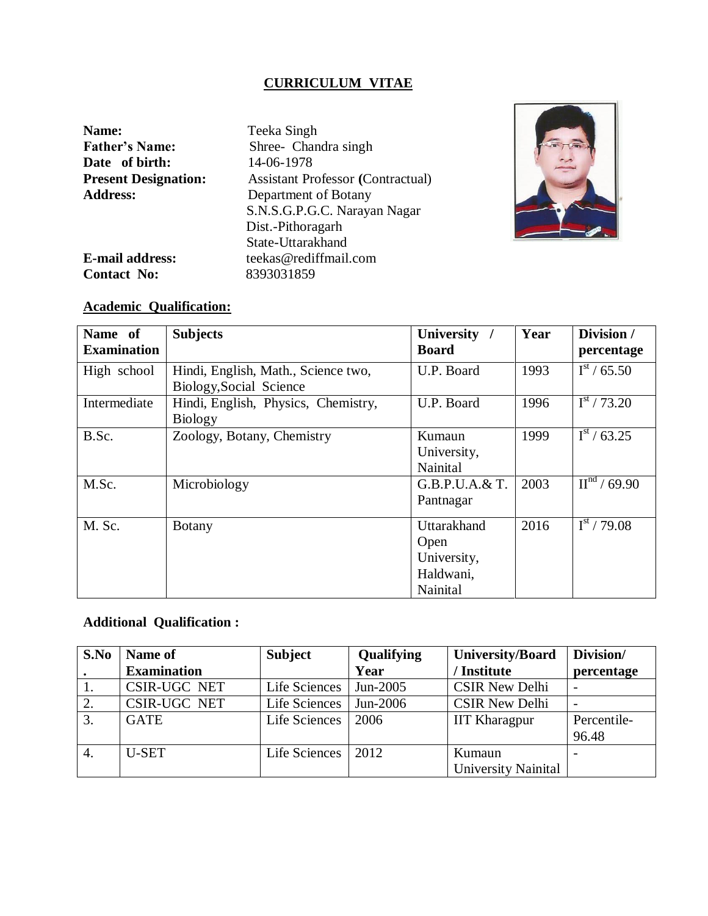# **CURRICULUM VITAE**

| Name:                       | Teeka Singh                              |
|-----------------------------|------------------------------------------|
| <b>Father's Name:</b>       | Shree- Chandra singh                     |
| Date of birth:              | 14-06-1978                               |
| <b>Present Designation:</b> | <b>Assistant Professor (Contractual)</b> |
| <b>Address:</b>             | Department of Botany                     |
|                             | S.N.S.G.P.G.C. Narayan Nagar             |
|                             | Dist.-Pithoragarh                        |
|                             | State-Uttarakhand                        |
| <b>E-mail address:</b>      | teekas@rediffmail.com                    |
| <b>Contact No:</b>          | 8393031859                               |



# **Academic Qualification:**

| Name of            | <b>Subjects</b>                     | <b>University</b> | Year | Division /                                     |
|--------------------|-------------------------------------|-------------------|------|------------------------------------------------|
| <b>Examination</b> |                                     | <b>Board</b>      |      | percentage                                     |
| High school        | Hindi, English, Math., Science two, | U.P. Board        | 1993 | $I^{st}$ / 65.50                               |
|                    | Biology, Social Science             |                   |      |                                                |
| Intermediate       | Hindi, English, Physics, Chemistry, | U.P. Board        | 1996 | $I^{st}$ / 73.20                               |
|                    | <b>Biology</b>                      |                   |      |                                                |
| B.Sc.              | Zoology, Botany, Chemistry          | Kumaun            | 1999 | $I^{st}$ / 63.25                               |
|                    |                                     | University,       |      |                                                |
|                    |                                     | Nainital          |      |                                                |
| M.Sc.              | Microbiology                        | G.B.P.U.A.& T.    | 2003 | $\overline{\mathrm{II}}^{\mathrm{nd}}$ / 69.90 |
|                    |                                     | Pantnagar         |      |                                                |
| M. Sc.             | <b>Botany</b>                       | Uttarakhand       | 2016 | $I^{\rm st}$ / 79.08                           |
|                    |                                     | Open              |      |                                                |
|                    |                                     | University,       |      |                                                |
|                    |                                     | Haldwani,         |      |                                                |
|                    |                                     | Nainital          |      |                                                |

# **Additional Qualification :**

| S.No | Name of             | <b>Subject</b> | Qualifying | University/Board           | Division/                |
|------|---------------------|----------------|------------|----------------------------|--------------------------|
|      | <b>Examination</b>  |                | Year       | / Institute                | percentage               |
|      | <b>CSIR-UGC NET</b> | Life Sciences  | Jun-2005   | <b>CSIR New Delhi</b>      | $\overline{\phantom{a}}$ |
|      | CSIR-UGC NET        | Life Sciences  | Jun-2006   | <b>CSIR New Delhi</b>      | $\overline{\phantom{a}}$ |
| 3.   | <b>GATE</b>         | Life Sciences  | 2006       | <b>IIT Kharagpur</b>       | Percentile-              |
|      |                     |                |            |                            | 96.48                    |
| 4.   | <b>U-SET</b>        | Life Sciences  | 2012       | Kumaun                     |                          |
|      |                     |                |            | <b>University Nainital</b> |                          |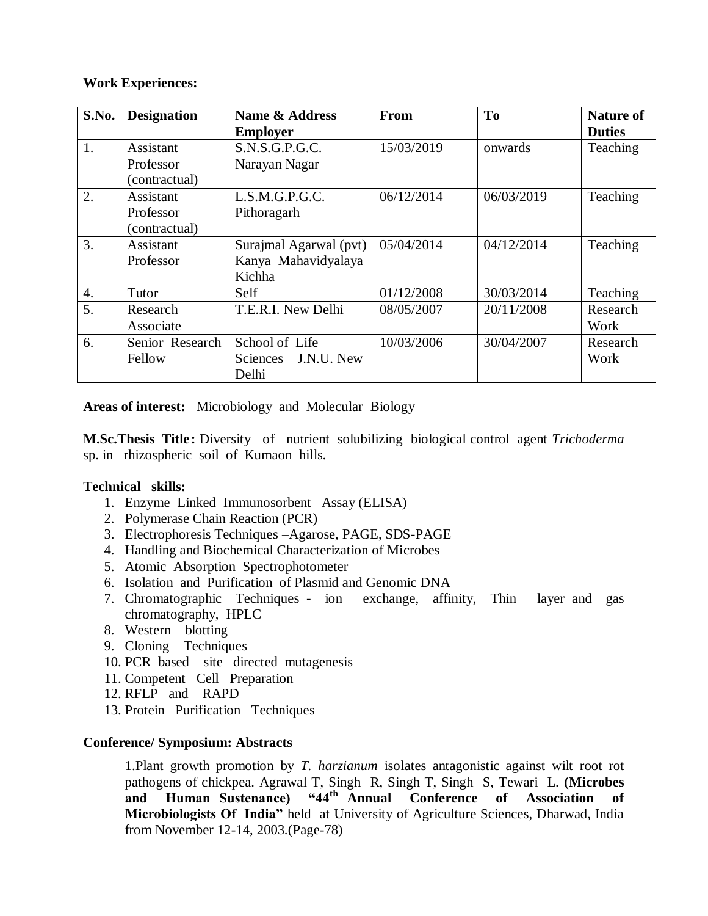## **Work Experiences:**

| S.No. | <b>Designation</b> | <b>Name &amp; Address</b> | From       | T <sub>0</sub> | <b>Nature of</b> |
|-------|--------------------|---------------------------|------------|----------------|------------------|
|       |                    | <b>Employer</b>           |            |                | <b>Duties</b>    |
| 1.    | Assistant          | S.N.S.G.P.G.C.            | 15/03/2019 | onwards        | Teaching         |
|       | Professor          | Narayan Nagar             |            |                |                  |
|       | (contractual)      |                           |            |                |                  |
| 2.    | Assistant          | L.S.M.G.P.G.C.            | 06/12/2014 | 06/03/2019     | Teaching         |
|       | Professor          | Pithoragarh               |            |                |                  |
|       | (contractual)      |                           |            |                |                  |
| 3.    | Assistant          | Surajmal Agarwal (pvt)    | 05/04/2014 | 04/12/2014     | Teaching         |
|       | Professor          | Kanya Mahavidyalaya       |            |                |                  |
|       |                    | Kichha                    |            |                |                  |
| 4.    | Tutor              | Self                      | 01/12/2008 | 30/03/2014     | Teaching         |
| 5.    | Research           | T.E.R.I. New Delhi        | 08/05/2007 | 20/11/2008     | Research         |
|       | Associate          |                           |            |                | Work             |
| 6.    | Senior Research    | School of Life            | 10/03/2006 | 30/04/2007     | Research         |
|       | Fellow             | J.N.U. New<br>Sciences    |            |                | Work             |
|       |                    | Delhi                     |            |                |                  |

**Areas of interest:** Microbiology and Molecular Biology

**M.Sc.Thesis Title:** Diversity of nutrient solubilizing biological control agent *Trichoderma* sp. in rhizospheric soil of Kumaon hills.

## **Technical skills:**

- 1. Enzyme Linked Immunosorbent Assay (ELISA)
- 2. Polymerase Chain Reaction (PCR)
- 3. Electrophoresis Techniques –Agarose, PAGE, SDS-PAGE
- 4. Handling and Biochemical Characterization of Microbes
- 5. Atomic Absorption Spectrophotometer
- 6. Isolation and Purification of Plasmid and Genomic DNA
- 7. Chromatographic Techniques ion exchange, affinity, Thin layer and gas chromatography, HPLC
- 8. Western blotting
- 9. Cloning Techniques
- 10. PCR based site directed mutagenesis
- 11. Competent Cell Preparation
- 12. RFLP and RAPD
- 13. Protein Purification Techniques

## **Conference/ Symposium: Abstracts**

1.Plant growth promotion by *T. harzianum* isolates antagonistic against wilt root rot pathogens of chickpea. Agrawal T, Singh R, Singh T, Singh S, Tewari L. **(Microbes and Human Sustenance) "44th Annual Conference of Association of Microbiologists Of India"** held at University of Agriculture Sciences, Dharwad, India from November 12-14, 2003.(Page-78)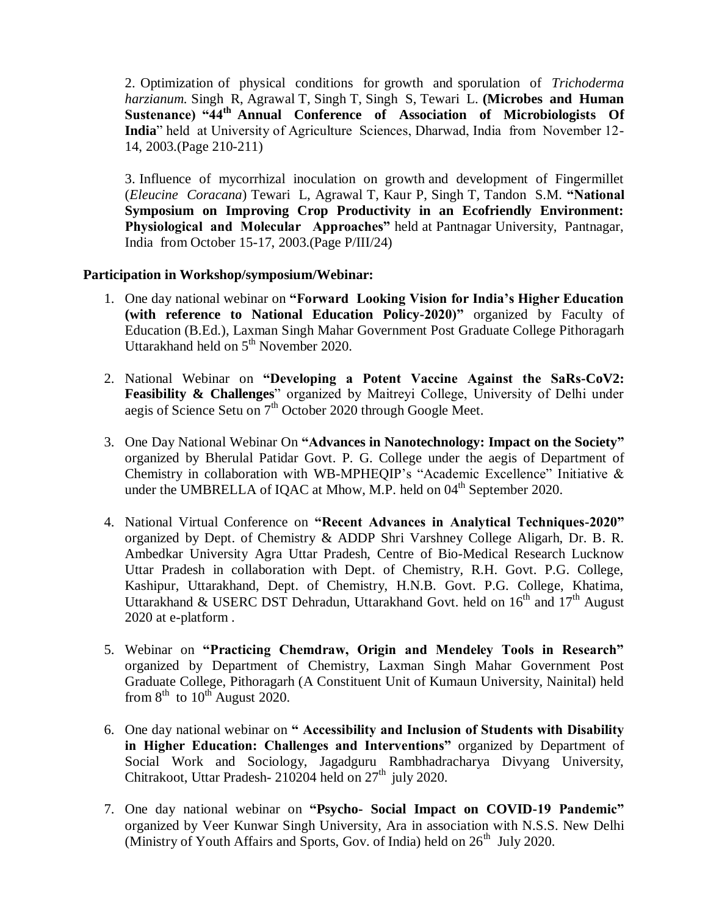2. Optimization of physical conditions for growth and sporulation of *Trichoderma harzianum.* Singh R, Agrawal T, Singh T, Singh S, Tewari L. **(Microbes and Human Sustenance) "44th Annual Conference of Association of Microbiologists Of India**" held at University of Agriculture Sciences, Dharwad, India from November 12- 14, 2003.(Page 210-211)

3. Influence of mycorrhizal inoculation on growth and development of Fingermillet (*Eleucine Coracana*) Tewari L, Agrawal T, Kaur P, Singh T, Tandon S.M. **"National Symposium on Improving Crop Productivity in an Ecofriendly Environment: Physiological and Molecular Approaches"** held at Pantnagar University, Pantnagar, India from October 15-17, 2003.(Page P/III/24)

## **Participation in Workshop/symposium/Webinar:**

- 1. One day national webinar on **"Forward Looking Vision for India's Higher Education (with reference to National Education Policy-2020)"** organized by Faculty of Education (B.Ed.), Laxman Singh Mahar Government Post Graduate College Pithoragarh Uttarakhand held on 5<sup>th</sup> November 2020.
- 2. National Webinar on **"Developing a Potent Vaccine Against the SaRs-CoV2: Feasibility & Challenges**" organized by Maitreyi College, University of Delhi under aegis of Science Setu on  $7<sup>th</sup>$  October 2020 through Google Meet.
- 3. One Day National Webinar On **"Advances in Nanotechnology: Impact on the Society"** organized by Bherulal Patidar Govt. P. G. College under the aegis of Department of Chemistry in collaboration with WB-MPHEQIP's "Academic Excellence" Initiative & under the UMBRELLA of IQAC at Mhow, M.P. held on  $04<sup>th</sup>$  September 2020.
- 4. National Virtual Conference on **"Recent Advances in Analytical Techniques-2020"** organized by Dept. of Chemistry & ADDP Shri Varshney College Aligarh, Dr. B. R. Ambedkar University Agra Uttar Pradesh, Centre of Bio-Medical Research Lucknow Uttar Pradesh in collaboration with Dept. of Chemistry, R.H. Govt. P.G. College, Kashipur, Uttarakhand, Dept. of Chemistry, H.N.B. Govt. P.G. College, Khatima, Uttarakhand & USERC DST Dehradun, Uttarakhand Govt. held on  $16<sup>th</sup>$  and  $17<sup>th</sup>$  August 2020 at e-platform .
- 5. Webinar on **"Practicing Chemdraw, Origin and Mendeley Tools in Research"** organized by Department of Chemistry, Laxman Singh Mahar Government Post Graduate College, Pithoragarh (A Constituent Unit of Kumaun University, Nainital) held from  $8^{th}$  to  $10^{th}$  August 2020.
- 6. One day national webinar on **" Accessibility and Inclusion of Students with Disability in Higher Education: Challenges and Interventions"** organized by Department of Social Work and Sociology, Jagadguru Rambhadracharya Divyang University, Chitrakoot, Uttar Pradesh- 210204 held on  $27<sup>th</sup>$  july 2020.
- 7. One day national webinar on **"Psycho- Social Impact on COVID-19 Pandemic"** organized by Veer Kunwar Singh University, Ara in association with N.S.S. New Delhi (Ministry of Youth Affairs and Sports, Gov. of India) held on  $26<sup>th</sup>$  July 2020.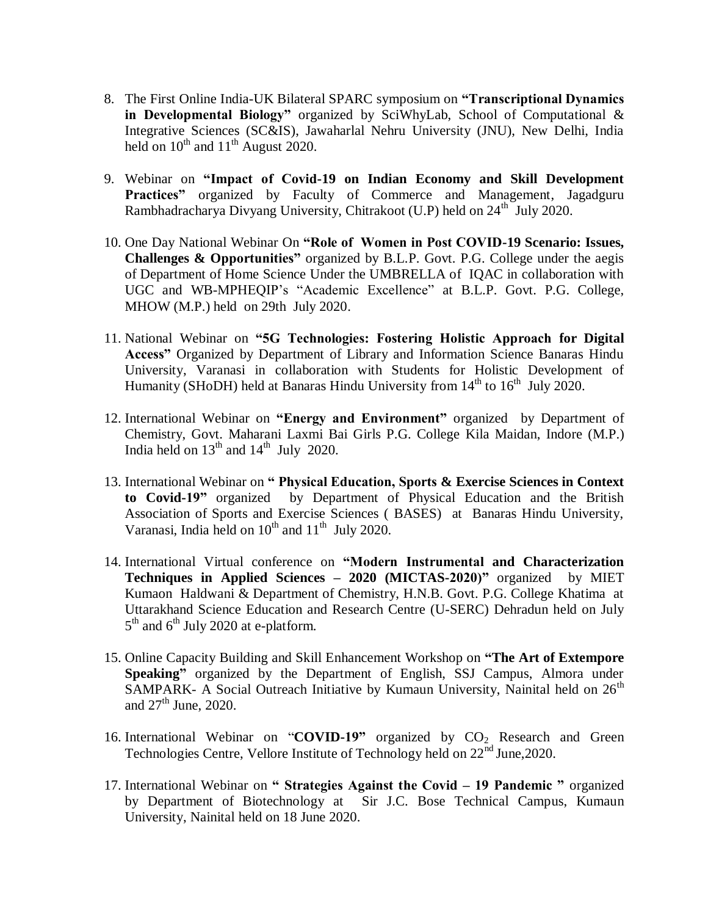- 8. The First Online India-UK Bilateral SPARC symposium on **"Transcriptional Dynamics in Developmental Biology"** organized by SciWhyLab, School of Computational & Integrative Sciences (SC&IS), Jawaharlal Nehru University (JNU), New Delhi, India held on  $10^{th}$  and  $11^{th}$  August 2020.
- 9. Webinar on **"Impact of Covid-19 on Indian Economy and Skill Development**  Practices" organized by Faculty of Commerce and Management, Jagadguru Rambhadracharya Divyang University, Chitrakoot (U.P) held on 24<sup>th</sup> July 2020.
- 10. One Day National Webinar On **"Role of Women in Post COVID-19 Scenario: Issues, Challenges & Opportunities"** organized by B.L.P. Govt. P.G. College under the aegis of Department of Home Science Under the UMBRELLA of IQAC in collaboration with UGC and WB-MPHEQIP's "Academic Excellence" at B.L.P. Govt. P.G. College, MHOW (M.P.) held on 29th July 2020.
- 11. National Webinar on **"5G Technologies: Fostering Holistic Approach for Digital Access"** Organized by Department of Library and Information Science Banaras Hindu University, Varanasi in collaboration with Students for Holistic Development of Humanity (SHoDH) held at Banaras Hindu University from  $14<sup>th</sup>$  to  $16<sup>th</sup>$  July 2020.
- 12. International Webinar on **"Energy and Environment"** organized by Department of Chemistry, Govt. Maharani Laxmi Bai Girls P.G. College Kila Maidan, Indore (M.P.) India held on  $13<sup>th</sup>$  and  $14<sup>th</sup>$  July 2020.
- 13. International Webinar on **" Physical Education, Sports & Exercise Sciences in Context to Covid-19"** organized by Department of Physical Education and the British Association of Sports and Exercise Sciences ( BASES) at Banaras Hindu University, Varanasi, India held on  $10^{th}$  and  $11^{th}$  July 2020.
- 14. International Virtual conference on **"Modern Instrumental and Characterization Techniques in Applied Sciences – 2020 (MICTAS-2020)"** organized by MIET Kumaon Haldwani & Department of Chemistry, H.N.B. Govt. P.G. College Khatima at Uttarakhand Science Education and Research Centre (U-SERC) Dehradun held on July  $5<sup>th</sup>$  and  $6<sup>th</sup>$  July 2020 at e-platform.
- 15. Online Capacity Building and Skill Enhancement Workshop on **"The Art of Extempore Speaking"** organized by the Department of English, SSJ Campus, Almora under SAMPARK- A Social Outreach Initiative by Kumaun University, Nainital held on  $26<sup>th</sup>$ and  $27<sup>th</sup>$  June, 2020.
- 16. International Webinar on "**COVID-19"** organized by CO<sub>2</sub> Research and Green Technologies Centre, Vellore Institute of Technology held on  $22<sup>nd</sup>$  June, 2020.
- 17. International Webinar on **" Strategies Against the Covid – 19 Pandemic "** organized by Department of Biotechnology at Sir J.C. Bose Technical Campus, Kumaun University, Nainital held on 18 June 2020.